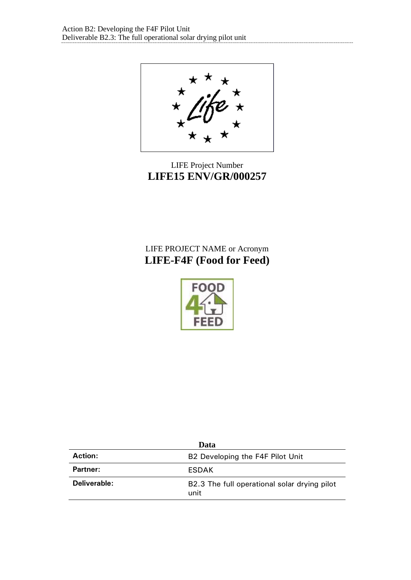★

# LIFE Project Number **LIFE15 ENV/GR/000257**

# LIFE PROJECT NAME or Acronym **LIFE-F4F (Food for Feed)**



| Data           |                                                      |  |  |  |
|----------------|------------------------------------------------------|--|--|--|
| <b>Action:</b> | B2 Developing the F4F Pilot Unit                     |  |  |  |
| Partner:       | <b>ESDAK</b>                                         |  |  |  |
| Deliverable:   | B2.3 The full operational solar drying pilot<br>unit |  |  |  |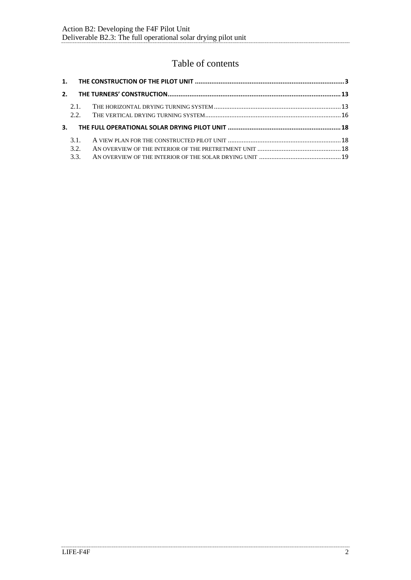## Table of contents

| 2.1      |  |  |
|----------|--|--|
|          |  |  |
|          |  |  |
| 31<br>32 |  |  |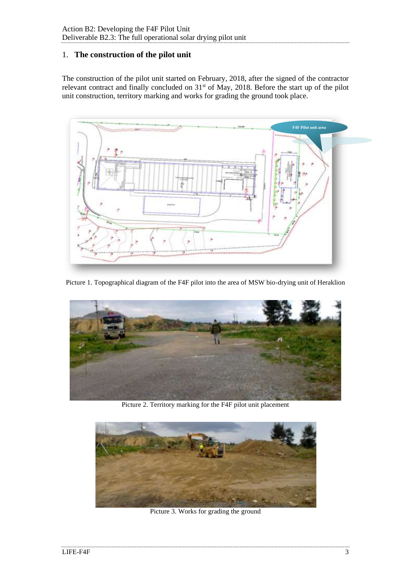## <span id="page-2-0"></span>1. **The construction of the pilot unit**

The construction of the pilot unit started on February, 2018, after the signed of the contractor relevant contract and finally concluded on 31<sup>st</sup> of May, 2018. Before the start up of the pilot unit construction, territory marking and works for grading the ground took place.



Picture 1. Topographical diagram of the F4F pilot into the area of MSW bio-drying unit of Heraklion



Picture 2. Territory marking for the F4F pilot unit placement



Picture 3. Works for grading the ground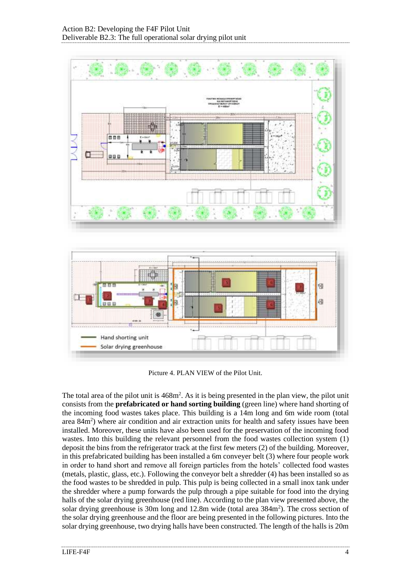

Picture 4. PLAN VIEW of the Pilot Unit.

The total area of the pilot unit is  $468m^2$ . As it is being presented in the plan view, the pilot unit consists from the **prefabricated or hand sorting building** (green line) where hand shorting of the incoming food wastes takes place. This building is a 14m long and 6m wide room (total area 84m<sup>2</sup>) where air condition and air extraction units for health and safety issues have been installed. Moreover, these units have also been used for the preservation of the incoming food wastes. Into this building the relevant personnel from the food wastes collection system (1) deposit the bins from the refrigerator track at the first few meters (2) of the building. Moreover, in this prefabricated building has been installed a 6m conveyer belt (3) where four people work in order to hand short and remove all foreign particles from the hotels' collected food wastes (metals, plastic, glass, etc.). Following the conveyor belt a shredder (4) has been installed so as the food wastes to be shredded in pulp. This pulp is being collected in a small inox tank under the shredder where a pump forwards the pulp through a pipe suitable for food into the drying halls of the solar drying greenhouse (red line). According to the plan view presented above, the solar drying greenhouse is 30m long and 12.8m wide (total area 384m<sup>2</sup>). The cross section of the solar drying greenhouse and the floor are being presented in the following pictures. Into the solar drying greenhouse, two drying halls have been constructed. The length of the halls is 20m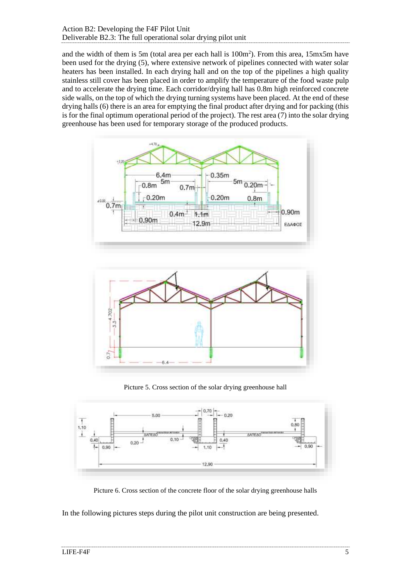#### Action B2: Developing the F4F Pilot Unit Deliverable B2.3: The full operational solar drying pilot unit

and the width of them is 5m (total area per each hall is 100m<sup>2</sup>). From this area, 15mx5m have been used for the drying (5), where extensive network of pipelines connected with water solar heaters has been installed. In each drying hall and on the top of the pipelines a high quality stainless still cover has been placed in order to amplify the temperature of the food waste pulp and to accelerate the drying time. Each corridor/drying hall has 0.8m high reinforced concrete side walls, on the top of which the drying turning systems have been placed. At the end of these drying halls (6) there is an area for emptying the final product after drying and for packing (this is for the final optimum operational period of the project). The rest area (7) into the solar drying greenhouse has been used for temporary storage of the produced products.





Picture 5. Cross section of the solar drying greenhouse hall



Picture 6. Cross section of the concrete floor of the solar drying greenhouse halls

In the following pictures steps during the pilot unit construction are being presented.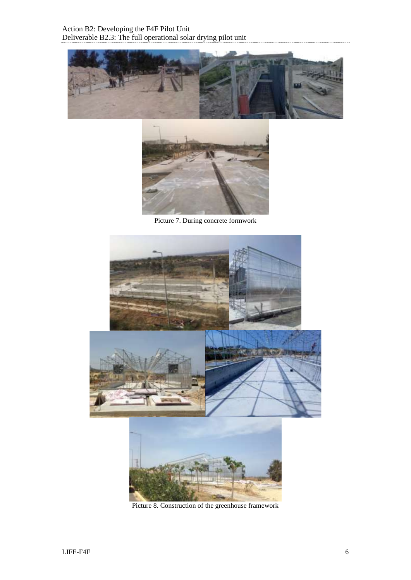



Picture 7. During concrete formwork





Picture 8. Construction of the greenhouse framework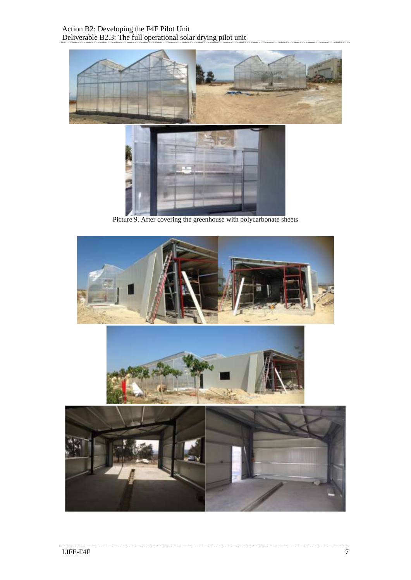

Picture 9. After covering the greenhouse with polycarbonate sheets

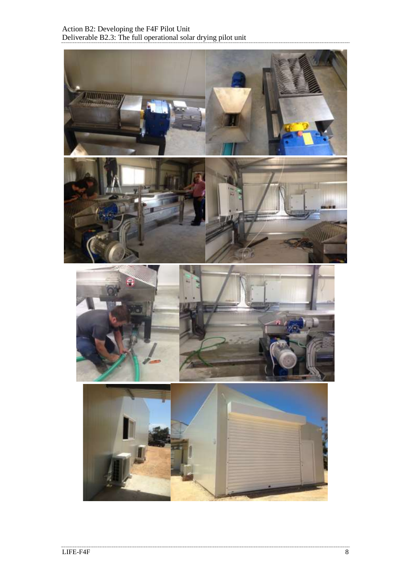#### Action B2: Developing the F4F Pilot Unit Deliverable B2.3: The full operational solar drying pilot unit

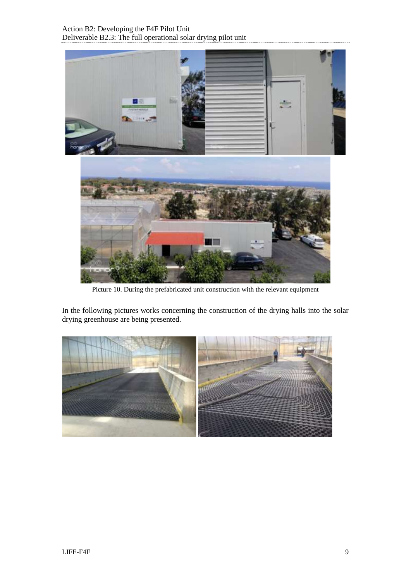

Picture 10. During the prefabricated unit construction with the relevant equipment

In the following pictures works concerning the construction of the drying halls into the solar drying greenhouse are being presented.

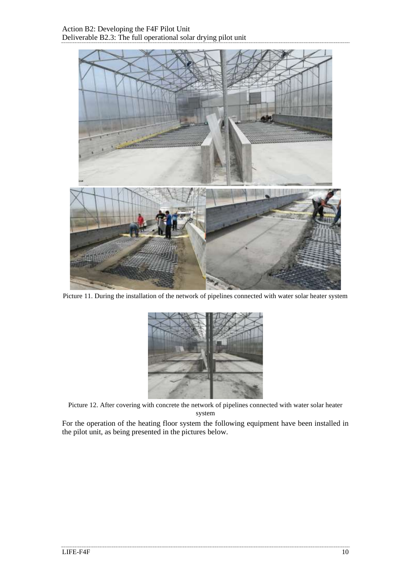

Picture 11. During the installation of the network of pipelines connected with water solar heater system



Picture 12. After covering with concrete the network of pipelines connected with water solar heater system

For the operation of the heating floor system the following equipment have been installed in the pilot unit, as being presented in the pictures below.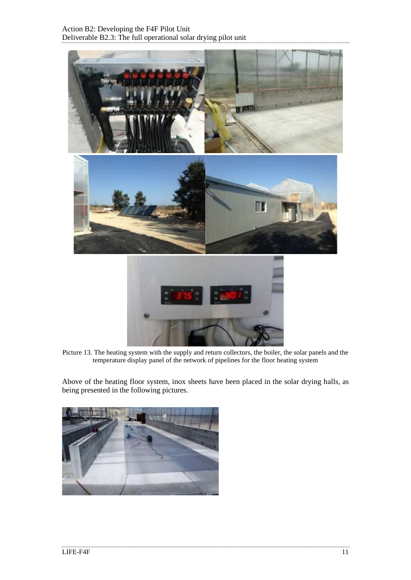## Action B2: Developing the F4F Pilot Unit Deliverable B2.3: The full operational solar drying pilot unit



Picture 13. The heating system with the supply and return collectors, the boiler, the solar panels and the temperature display panel of the network of pipelines for the floor heating system

Above of the heating floor system, inox sheets have been placed in the solar drying halls, as being presented in the following pictures.

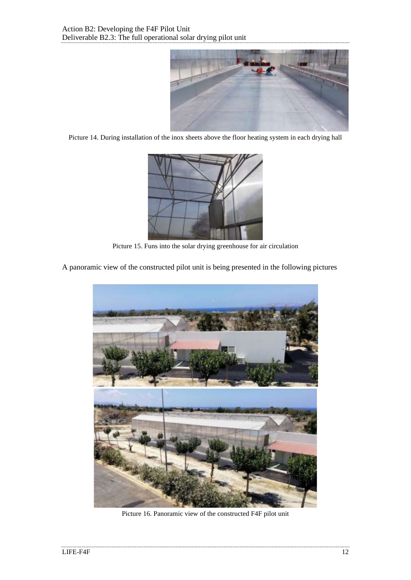

Picture 14. During installation of the inox sheets above the floor heating system in each drying hall



Picture 15. Funs into the solar drying greenhouse for air circulation

A panoramic view of the constructed pilot unit is being presented in the following pictures



Picture 16. Panoramic view of the constructed F4F pilot unit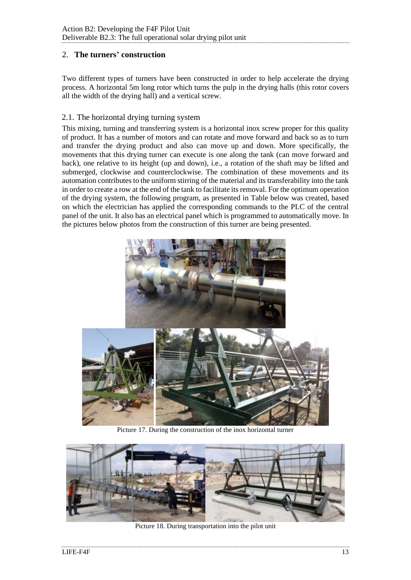## <span id="page-12-0"></span>2. **The turners' construction**

Two different types of turners have been constructed in order to help accelerate the drying process. A horizontal 5m long rotor which turns the pulp in the drying halls (this rotor covers all the width of the drying hall) and a vertical screw.

#### <span id="page-12-1"></span>2.1. The horizontal drying turning system

This mixing, turning and transferring system is a horizontal inox screw proper for this quality of product. It has a number of motors and can rotate and move forward and back so as to turn and transfer the drying product and also can move up and down. More specifically, the movements that this drying turner can execute is one along the tank (can move forward and back), one relative to its height (up and down), i.e., a rotation of the shaft may be lifted and submerged, clockwise and counterclockwise. The combination of these movements and its automation contributes to the uniform stirring of the material and its transferability into the tank in order to create a row at the end of the tank to facilitate its removal. For the optimum operation of the drying system, the following program, as presented in Table below was created, based on which the electrician has applied the corresponding commands to the PLC of the central panel of the unit. It also has an electrical panel which is programmed to automatically move. In the pictures below photos from the construction of this turner are being presented.



Picture 17. During the construction of the inox horizontal turner



Picture 18. During transportation into the pilot unit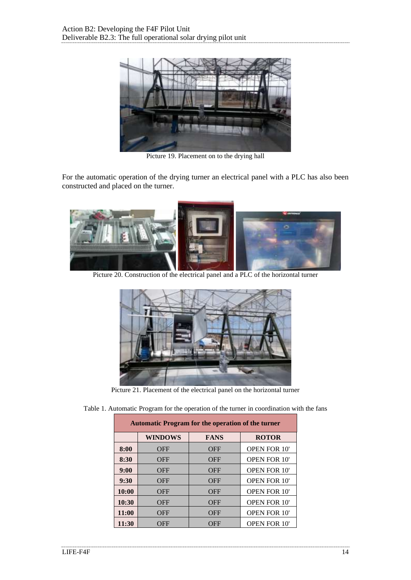

Picture 19. Placement on to the drying hall

For the automatic operation of the drying turner an electrical panel with a PLC has also been constructed and placed on the turner.



Picture 20. Construction of the electrical panel and a PLC of the horizontal turner



Picture 21. Placement of the electrical panel on the horizontal turner

| <b>Automatic Program for the operation of the turner</b> |                |             |                     |  |  |  |  |
|----------------------------------------------------------|----------------|-------------|---------------------|--|--|--|--|
|                                                          | <b>WINDOWS</b> | <b>FANS</b> | <b>ROTOR</b>        |  |  |  |  |
| 8:00                                                     | <b>OFF</b>     | <b>OFF</b>  | <b>OPEN FOR 10'</b> |  |  |  |  |
| 8:30                                                     | <b>OFF</b>     | <b>OFF</b>  | <b>OPEN FOR 10'</b> |  |  |  |  |
| 9:00                                                     | <b>OFF</b>     | <b>OFF</b>  | <b>OPEN FOR 10'</b> |  |  |  |  |
| 9:30                                                     | <b>OFF</b>     | <b>OFF</b>  | <b>OPEN FOR 10'</b> |  |  |  |  |
| 10:00                                                    | <b>OFF</b>     | <b>OFF</b>  | <b>OPEN FOR 10'</b> |  |  |  |  |
| 10:30                                                    | <b>OFF</b>     | <b>OFF</b>  | <b>OPEN FOR 10'</b> |  |  |  |  |
| 11:00                                                    | <b>OFF</b>     | <b>OFF</b>  | <b>OPEN FOR 10'</b> |  |  |  |  |
| 11:30                                                    | OFF            | OFF         | <b>OPEN FOR 10'</b> |  |  |  |  |

Table 1. Automatic Program for the operation of the turner in coordination with the fans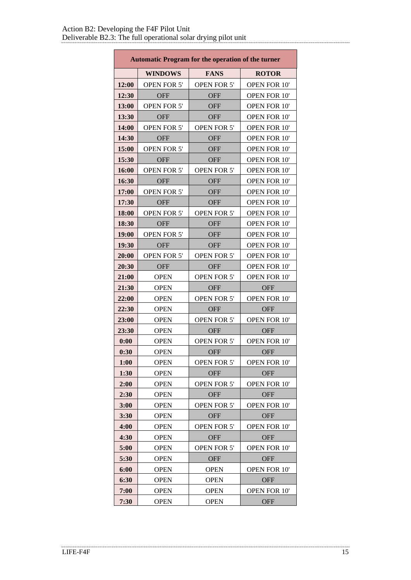| <b>Automatic Program for the operation of the turner</b> |                    |                           |                     |  |  |  |
|----------------------------------------------------------|--------------------|---------------------------|---------------------|--|--|--|
|                                                          | <b>WINDOWS</b>     | <b>FANS</b>               | <b>ROTOR</b>        |  |  |  |
| 12:00                                                    | <b>OPEN FOR 5'</b> | <b>OPEN FOR 5'</b>        | <b>OPEN FOR 10'</b> |  |  |  |
| 12:30                                                    | <b>OFF</b>         | <b>OFF</b>                | <b>OPEN FOR 10'</b> |  |  |  |
| 13:00                                                    | <b>OPEN FOR 5'</b> | <b>OFF</b>                | <b>OPEN FOR 10'</b> |  |  |  |
| 13:30                                                    | <b>OFF</b>         | <b>OFF</b>                | <b>OPEN FOR 10'</b> |  |  |  |
| 14:00                                                    | <b>OPEN FOR 5'</b> | <b>OPEN FOR 5'</b>        | <b>OPEN FOR 10'</b> |  |  |  |
| 14:30                                                    | <b>OFF</b>         | <b>OFF</b>                | OPEN FOR 10'        |  |  |  |
| 15:00                                                    | <b>OPEN FOR 5'</b> | <b>OFF</b>                | <b>OPEN FOR 10'</b> |  |  |  |
| 15:30                                                    | <b>OFF</b>         | <b>OFF</b>                | <b>OPEN FOR 10'</b> |  |  |  |
| 16:00                                                    | <b>OPEN FOR 5'</b> | <b>OPEN FOR 5'</b>        | <b>OPEN FOR 10'</b> |  |  |  |
| 16:30                                                    | <b>OFF</b>         | <b>OFF</b>                | <b>OPEN FOR 10'</b> |  |  |  |
| 17:00                                                    | <b>OPEN FOR 5'</b> | <b>OFF</b>                | <b>OPEN FOR 10'</b> |  |  |  |
| 17:30                                                    | <b>OFF</b>         | <b>OFF</b>                | <b>OPEN FOR 10'</b> |  |  |  |
| <b>18:00</b>                                             | <b>OPEN FOR 5'</b> | <b>OPEN FOR 5'</b>        | <b>OPEN FOR 10'</b> |  |  |  |
| 18:30                                                    | <b>OFF</b>         | <b>OFF</b>                | <b>OPEN FOR 10'</b> |  |  |  |
| 19:00                                                    | <b>OPEN FOR 5'</b> | <b>OFF</b>                | <b>OPEN FOR 10'</b> |  |  |  |
| 19:30                                                    | <b>OFF</b>         | <b>OFF</b>                | <b>OPEN FOR 10'</b> |  |  |  |
| 20:00                                                    | <b>OPEN FOR 5'</b> | <b>OPEN FOR 5'</b>        | <b>OPEN FOR 10'</b> |  |  |  |
| 20:30                                                    | <b>OFF</b>         | <b>OFF</b>                | <b>OPEN FOR 10'</b> |  |  |  |
| 21:00                                                    | <b>OPEN</b>        | <b>OPEN FOR 5'</b>        | <b>OPEN FOR 10'</b> |  |  |  |
| 21:30                                                    | <b>OPEN</b>        | <b>OFF</b>                | <b>OFF</b>          |  |  |  |
| 22:00                                                    | <b>OPEN</b>        | <b>OPEN FOR 5'</b>        | <b>OPEN FOR 10'</b> |  |  |  |
| 22:30                                                    | <b>OPEN</b>        | <b>OFF</b>                | <b>OFF</b>          |  |  |  |
| 23:00                                                    | <b>OPEN</b>        | <b>OPEN FOR 5'</b>        | <b>OPEN FOR 10'</b> |  |  |  |
| 23:30                                                    | <b>OPEN</b>        | <b>OFF</b>                | <b>OFF</b>          |  |  |  |
| 0:00                                                     | <b>OPEN</b>        | <b>OPEN FOR 5'</b>        | <b>OPEN FOR 10'</b> |  |  |  |
| 0:30                                                     | <b>OPEN</b>        | <b>OFF</b>                | <b>OFF</b>          |  |  |  |
| 1:00                                                     | <b>OPEN</b>        | <b>OPEN FOR 5'</b>        | <b>OPEN FOR 10'</b> |  |  |  |
| 1:30                                                     | <b>OPEN</b>        | <b>OFF</b>                | <b>OFF</b>          |  |  |  |
| 2:00                                                     | <b>OPEN</b>        | <b>OPEN FOR 5'</b>        | <b>OPEN FOR 10'</b> |  |  |  |
| 2:30                                                     | <b>OPEN</b>        | <b>OFF</b>                | <b>OFF</b>          |  |  |  |
| 3:00                                                     | <b>OPEN</b>        | <b>OPEN FOR 5'</b>        | <b>OPEN FOR 10'</b> |  |  |  |
| 3:30                                                     | <b>OPEN</b>        | <b>OFF</b>                | <b>OFF</b>          |  |  |  |
| 4:00                                                     | <b>OPEN</b>        | <b>OPEN FOR 5'</b>        | <b>OPEN FOR 10'</b> |  |  |  |
| 4:30                                                     | <b>OPEN</b>        | <b>OFF</b>                | <b>OFF</b>          |  |  |  |
| 5:00                                                     | <b>OPEN</b>        | <b>OPEN FOR 5'</b>        | <b>OPEN FOR 10'</b> |  |  |  |
| 5:30                                                     | <b>OPEN</b>        | <b>OFF</b>                | <b>OFF</b>          |  |  |  |
| 6:00                                                     | <b>OPEN</b>        | <b>OPEN</b>               | <b>OPEN FOR 10'</b> |  |  |  |
| 6:30                                                     | <b>OPEN</b>        | <b>OPEN</b><br><b>OFF</b> |                     |  |  |  |
| 7:00                                                     | <b>OPEN</b>        | <b>OPEN</b>               | <b>OPEN FOR 10'</b> |  |  |  |
| 7:30                                                     | <b>OPEN</b>        | <b>OPEN</b>               | <b>OFF</b>          |  |  |  |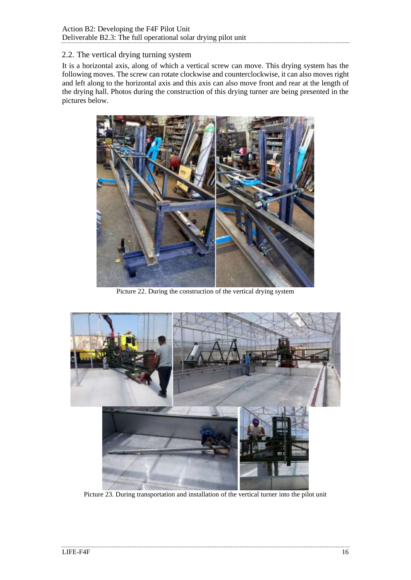### <span id="page-15-0"></span>2.2. The vertical drying turning system

It is a horizontal axis, along of which a vertical screw can move. This drying system has the following moves. The screw can rotate clockwise and counterclockwise, it can also moves right and left along to the horizontal axis and this axis can also move front and rear at the length of the drying hall. Photos during the construction of this drying turner are being presented in the pictures below.



Picture 22. During the construction of the vertical drying system



Picture 23. During transportation and installation of the vertical turner into the pilot unit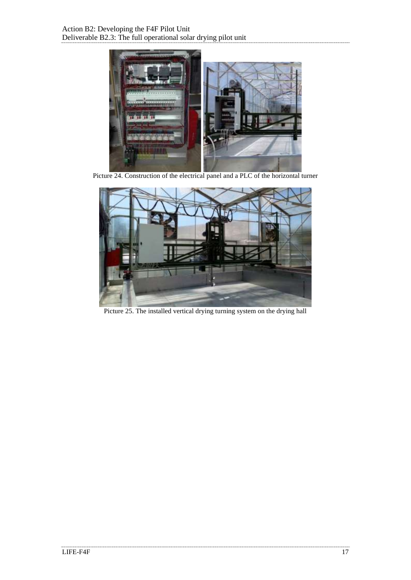

Picture 24. Construction of the electrical panel and a PLC of the horizontal turner



Picture 25. The installed vertical drying turning system on the drying hall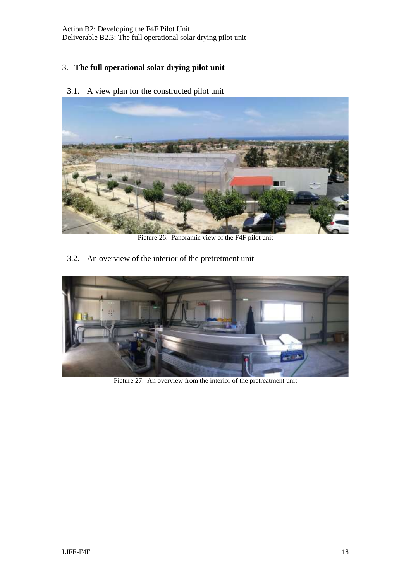## <span id="page-17-0"></span>3. **The full operational solar drying pilot unit**

<span id="page-17-1"></span>3.1. A view plan for the constructed pilot unit



Picture 26. Panoramic view of the F4F pilot unit

<span id="page-17-2"></span>3.2. An overview of the interior of the pretretment unit



Picture 27. An overview from the interior of the pretreatment unit